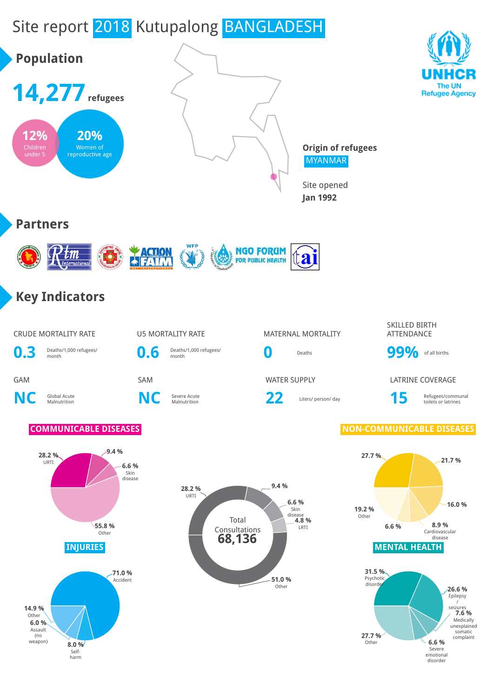# Site report 2018 Kutupalong BANGLADESH



**8.0 %** Selfharm

**6.6 %** Severe emotional disorder

Other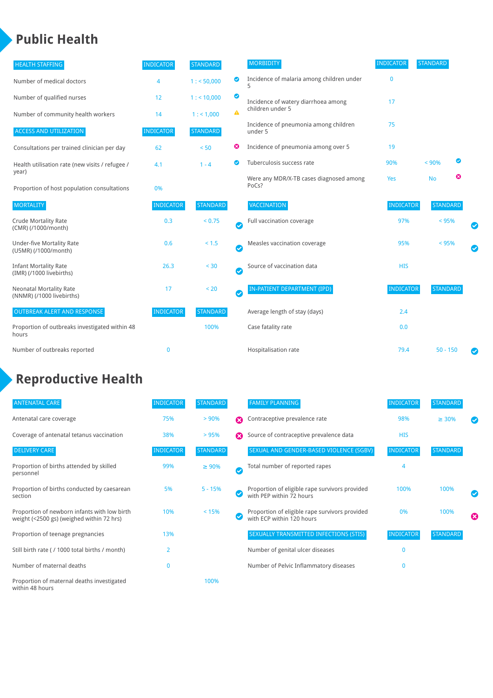### **Public Health**

| <b>HEALTH STAFFING</b>                                      | <b>INDICATOR</b> | <b>STANDARD</b> |           | <b>MORBIDITY</b>                                 | <b>INDICATOR</b> | <b>STANDARD</b> |   |   |
|-------------------------------------------------------------|------------------|-----------------|-----------|--------------------------------------------------|------------------|-----------------|---|---|
| Number of medical doctors                                   | 4                | 1: 50,000       | ◉         | Incidence of malaria among children under        | $\mathbf{0}$     |                 |   |   |
| Number of qualified nurses                                  | 12               | $1:$ < 10,000   | ◎         | Incidence of watery diarrhoea among              | 17               |                 |   |   |
| Number of community health workers                          | 14               | 1: 1,000        | A         | children under 5                                 |                  |                 |   |   |
| <b>ACCESS AND UTILIZATION</b>                               | <b>INDICATOR</b> | <b>STANDARD</b> |           | Incidence of pneumonia among children<br>under 5 | 75               |                 |   |   |
| Consultations per trained clinician per day                 | 62               | < 50            | ☺         | Incidence of pneumonia among over 5              | 19               |                 |   |   |
| Health utilisation rate (new visits / refugee /             | 4.1              | $1 - 4$         |           | Tuberculosis success rate                        | 90%              | < 90%           | ☑ |   |
| year)<br>Proportion of host population consultations        | 0%               |                 |           | Were any MDR/X-TB cases diagnosed among<br>PoCs? | Yes              | <b>No</b>       | ☺ |   |
| <b>MORTALITY</b>                                            | <b>INDICATOR</b> | <b>STANDARD</b> |           | <b>VACCINATION</b>                               | <b>INDICATOR</b> | <b>STANDARD</b> |   |   |
| <b>Crude Mortality Rate</b><br>(CMR) (/1000/month)          | 0.3              | < 0.75          | $\bullet$ | Full vaccination coverage                        | 97%              | $< 95\%$        |   |   |
| <b>Under-five Mortality Rate</b><br>(U5MR) (/1000/month)    | 0.6              | $< 1.5$         | Ø         | Measles vaccination coverage                     | 95%              | < 95%           |   | Ø |
| <b>Infant Mortality Rate</b><br>(IMR) (/1000 livebirths)    | 26.3             | < 30            | $\bullet$ | Source of vaccination data                       | <b>HIS</b>       |                 |   |   |
| <b>Neonatal Mortality Rate</b><br>(NNMR) (/1000 livebirths) | 17               | < 20            | $\bullet$ | <b>IN-PATIENT DEPARTMENT (IPD)</b>               | <b>INDICATOR</b> | <b>STANDARD</b> |   |   |
| <b>OUTBREAK ALERT AND RESPONSE</b>                          | <b>INDICATOR</b> | <b>STANDARD</b> |           | Average length of stay (days)                    | 2.4              |                 |   |   |
| Proportion of outbreaks investigated within 48<br>hours     |                  | 100%            |           | Case fatality rate                               | 0.0              |                 |   |   |
| Number of outbreaks reported                                | $\mathbf 0$      |                 |           | Hospitalisation rate                             | 79.4             | $50 - 150$      |   |   |

## **Reproductive Health**

| <b>ANTENATAL CARE</b>                                                                     | <b>INDICATOR</b> | <b>STANDARD</b> |   | <b>FAMILY PLANNING</b>                                                      | <b>INDICATOR</b> | <b>STANDARD</b> |   |
|-------------------------------------------------------------------------------------------|------------------|-----------------|---|-----------------------------------------------------------------------------|------------------|-----------------|---|
| Antenatal care coverage                                                                   | 75%              | > 90%           | Ω | Contraceptive prevalence rate                                               | 98%              | $\geq 30\%$     |   |
| Coverage of antenatal tetanus vaccination                                                 | 38%              | >95%            | Ω | Source of contraceptive prevalence data                                     | <b>HIS</b>       |                 |   |
| <b>DELIVERY CARE</b>                                                                      | <b>INDICATOR</b> | <b>STANDARD</b> |   | SEXUAL AND GENDER-BASED VIOLENCE (SGBV)                                     | <b>INDICATOR</b> | <b>STANDARD</b> |   |
| Proportion of births attended by skilled<br>personnel                                     | 99%              | $\geq 90\%$     | Ø | Total number of reported rapes                                              | 4                |                 |   |
| Proportion of births conducted by caesarean<br>section                                    | 5%               | $5 - 15%$       |   | Proportion of eligible rape survivors provided<br>with PEP within 72 hours  | 100%             | 100%            |   |
| Proportion of newborn infants with low birth<br>weight (<2500 gs) (weighed within 72 hrs) | 10%              | < 15%           |   | Proportion of eligible rape survivors provided<br>with ECP within 120 hours | 0%               | 100%            | ☎ |
| Proportion of teenage pregnancies                                                         | 13%              |                 |   | SEXUALLY TRANSMITTED INFECTIONS (STIS)                                      | <b>INDICATOR</b> | <b>STANDARD</b> |   |
| Still birth rate (/ 1000 total births / month)                                            | $\overline{2}$   |                 |   | Number of genital ulcer diseases                                            | $\Omega$         |                 |   |
| Number of maternal deaths                                                                 | $\Omega$         |                 |   | Number of Pelvic Inflammatory diseases                                      | O                |                 |   |
| Proportion of maternal deaths investigated<br>within 48 hours                             |                  | 100%            |   |                                                                             |                  |                 |   |